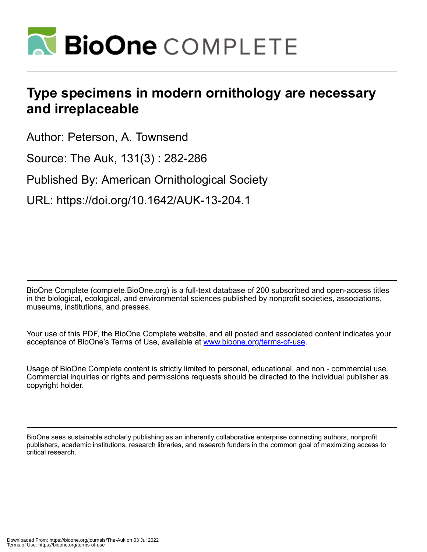

# **Type specimens in modern ornithology are necessary and irreplaceable**

Author: Peterson, A. Townsend

Source: The Auk, 131(3) : 282-286

Published By: American Ornithological Society

URL: https://doi.org/10.1642/AUK-13-204.1

BioOne Complete (complete.BioOne.org) is a full-text database of 200 subscribed and open-access titles in the biological, ecological, and environmental sciences published by nonprofit societies, associations, museums, institutions, and presses.

Your use of this PDF, the BioOne Complete website, and all posted and associated content indicates your acceptance of BioOne's Terms of Use, available at www.bioone.org/terms-of-use.

Usage of BioOne Complete content is strictly limited to personal, educational, and non - commercial use. Commercial inquiries or rights and permissions requests should be directed to the individual publisher as copyright holder.

BioOne sees sustainable scholarly publishing as an inherently collaborative enterprise connecting authors, nonprofit publishers, academic institutions, research libraries, and research funders in the common goal of maximizing access to critical research.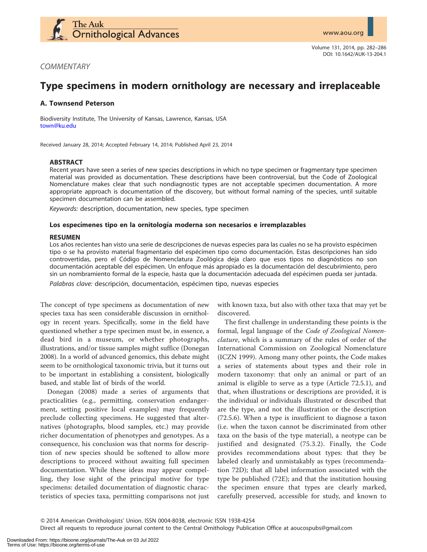

# **COMMENTARY**

# Type specimens in modern ornithology are necessary and irreplaceable

# A. Townsend Peterson

Biodiversity Institute, The University of Kansas, Lawrence, Kansas, USA [town@ku.edu](mailto:town@ku.edu)

Received January 28, 2014; Accepted February 14, 2014; Published April 23, 2014

#### ABSTRACT

Recent years have seen a series of new species descriptions in which no type specimen or fragmentary type specimen material was provided as documentation. These descriptions have been controversial, but the Code of Zoological Nomenclature makes clear that such nondiagnostic types are not acceptable specimen documentation. A more appropriate approach is documentation of the discovery, but without formal naming of the species, until suitable specimen documentation can be assembled.

Keywords: description, documentation, new species, type specimen

#### Los especímenes tipo en la ornitología moderna son necesarios e irremplazables

#### RESUMEN

Los años recientes han visto una serie de descripciones de nuevas especies para las cuales no se ha provisto espécimen tipo o se ha provisto material fragmentario del espécimen tipo como documentación. Estas descripciones han sido controvertidas, pero el Código de Nomenclatura Zoológica deja claro que esos tipos no diagnósticos no son documentación aceptable del espécimen. Un enfoque más apropiado es la documentación del descubrimiento, pero sin un nombramiento formal de la especie, hasta que la documentación adecuada del espécimen pueda ser juntada.

Palabras clave: descripción, documentación, espécimen tipo, nuevas especies

The concept of type specimens as documentation of new species taxa has seen considerable discussion in ornithology in recent years. Specifically, some in the field have questioned whether a type specimen must be, in essence, a dead bird in a museum, or whether photographs, illustrations, and/or tissue samples might suffice (Donegan 2008). In a world of advanced genomics, this debate might seem to be ornithological taxonomic trivia, but it turns out to be important in establishing a consistent, biologically based, and stable list of birds of the world.

Donegan (2008) made a series of arguments that practicalities (e.g., permitting, conservation endangerment, setting positive local examples) may frequently preclude collecting specimens. He suggested that alternatives (photographs, blood samples, etc.) may provide richer documentation of phenotypes and genotypes. As a consequence, his conclusion was that norms for description of new species should be softened to allow more descriptions to proceed without awaiting full specimen documentation. While these ideas may appear compelling, they lose sight of the principal motive for type specimens: detailed documentation of diagnostic characteristics of species taxa, permitting comparisons not just with known taxa, but also with other taxa that may yet be discovered.

The first challenge in understanding these points is the formal, legal language of the Code of Zoological Nomenclature, which is a summary of the rules of order of the International Commission on Zoological Nomenclature (ICZN 1999). Among many other points, the Code makes a series of statements about types and their role in modern taxonomy: that only an animal or part of an animal is eligible to serve as a type (Article 72.5.1), and that, when illustrations or descriptions are provided, it is the individual or individuals illustrated or described that are the type, and not the illustration or the description (72.5.6). When a type is insufficient to diagnose a taxon (i.e. when the taxon cannot be discriminated from other taxa on the basis of the type material), a neotype can be justified and designated (75.3.2). Finally, the Code provides recommendations about types: that they be labeled clearly and unmistakably as types (recommendation 72D); that all label information associated with the type be published (72E); and that the institution housing the specimen ensure that types are clearly marked, carefully preserved, accessible for study, and known to

Q 2014 American Ornithologists' Union. ISSN 0004-8038, electronic ISSN 1938-4254

Direct all requests to reproduce journal content to the Central Ornithology Publication Office at aoucospubs@gmail.com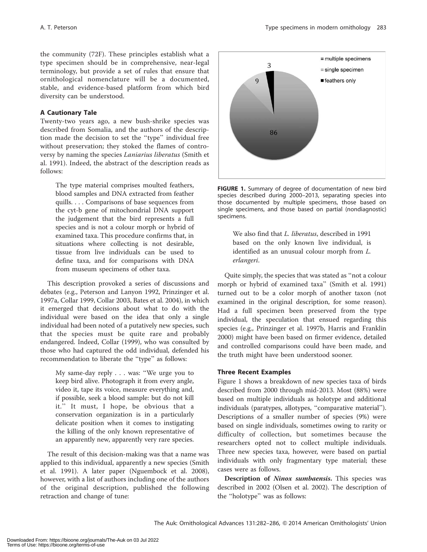the community (72F). These principles establish what a type specimen should be in comprehensive, near-legal terminology, but provide a set of rules that ensure that ornithological nomenclature will be a documented, stable, and evidence-based platform from which bird diversity can be understood.

# A Cautionary Tale

Twenty-two years ago, a new bush-shrike species was described from Somalia, and the authors of the description made the decision to set the ''type'' individual free without preservation; they stoked the flames of controversy by naming the species Laniarius liberatus (Smith et al. 1991). Indeed, the abstract of the description reads as follows:

The type material comprises moulted feathers, blood samples and DNA extracted from feather quills. . . . Comparisons of base sequences from the cyt-b gene of mitochondrial DNA support the judgement that the bird represents a full species and is not a colour morph or hybrid of examined taxa. This procedure confirms that, in situations where collecting is not desirable, tissue from live individuals can be used to define taxa, and for comparisons with DNA from museum specimens of other taxa.

This description provoked a series of discussions and debates (e.g., Peterson and Lanyon 1992, Prinzinger et al. 1997a, Collar 1999, Collar 2003, Bates et al. 2004), in which it emerged that decisions about what to do with the individual were based on the idea that only a single individual had been noted of a putatively new species, such that the species must be quite rare and probably endangered. Indeed, Collar (1999), who was consulted by those who had captured the odd individual, defended his recommendation to liberate the ''type'' as follows:

My same-day reply . . . was: ''We urge you to keep bird alive. Photograph it from every angle, video it, tape its voice, measure everything and, if possible, seek a blood sample: but do not kill it.'' It must, I hope, be obvious that a conservation organization is in a particularly delicate position when it comes to instigating the killing of the only known representative of an apparently new, apparently very rare species.

The result of this decision-making was that a name was applied to this individual, apparently a new species (Smith et al. 1991). A later paper (Nguembock et al. 2008), however, with a list of authors including one of the authors of the original description, published the following retraction and change of tune:



FIGURE 1. Summary of degree of documentation of new bird species described during 2000–2013, separating species into those documented by multiple specimens, those based on single specimens, and those based on partial (nondiagnostic) specimens.

We also find that *L. liberatus*, described in 1991 based on the only known live individual, is identified as an unusual colour morph from L. erlangeri.

Quite simply, the species that was stated as ''not a colour morph or hybrid of examined taxa'' (Smith et al. 1991) turned out to be a color morph of another taxon (not examined in the original description, for some reason). Had a full specimen been preserved from the type individual, the speculation that ensued regarding this species (e.g., Prinzinger et al. 1997b, Harris and Franklin 2000) might have been based on firmer evidence, detailed and controlled comparisons could have been made, and the truth might have been understood sooner.

## Three Recent Examples

Figure 1 shows a breakdown of new species taxa of birds described from 2000 through mid-2013. Most (88%) were based on multiple individuals as holotype and additional individuals (paratypes, allotypes, ''comparative material''). Descriptions of a smaller number of species (9%) were based on single individuals, sometimes owing to rarity or difficulty of collection, but sometimes because the researchers opted not to collect multiple individuals. Three new species taxa, however, were based on partial individuals with only fragmentary type material; these cases were as follows.

Description of Ninox sumbaensis. This species was described in 2002 (Olsen et al. 2002). The description of the ''holotype'' was as follows: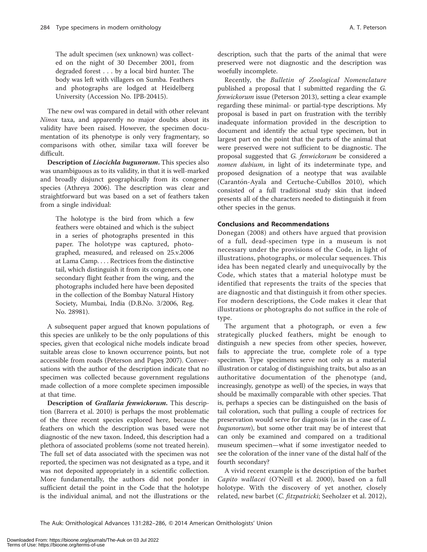The adult specimen (sex unknown) was collected on the night of 30 December 2001, from degraded forest . . . by a local bird hunter. The body was left with villagers on Sumba. Feathers and photographs are lodged at Heidelberg University (Accession No. IPB-20415).

The new owl was compared in detail with other relevant Ninox taxa, and apparently no major doubts about its validity have been raised. However, the specimen documentation of its phenotype is only very fragmentary, so comparisons with other, similar taxa will forever be difficult.

Description of *Liocichla bugunorum*. This species also was unambiguous as to its validity, in that it is well-marked and broadly disjunct geographically from its congener species (Athreya 2006). The description was clear and straightforward but was based on a set of feathers taken from a single individual:

The holotype is the bird from which a few feathers were obtained and which is the subject in a series of photographs presented in this paper. The holotype was captured, photographed, measured, and released on 25.v.2006 at Lama Camp. . . . Rectrices from the distinctive tail, which distinguish it from its congeners, one secondary flight feather from the wing, and the photographs included here have been deposited in the collection of the Bombay Natural History Society, Mumbai, India (D.B.No. 3/2006, Reg. No. 28981).

A subsequent paper argued that known populations of this species are unlikely to be the only populations of this species, given that ecological niche models indicate broad suitable areas close to known occurrence points, but not accessible from roads (Peterson and Papeş 2007). Conversations with the author of the description indicate that no specimen was collected because government regulations made collection of a more complete specimen impossible at that time.

Description of Grallaria fenwickorum. This description (Barrera et al. 2010) is perhaps the most problematic of the three recent species explored here, because the feathers on which the description was based were not diagnostic of the new taxon. Indeed, this description had a plethora of associated problems (some not treated herein). The full set of data associated with the specimen was not reported, the specimen was not designated as a type, and it was not deposited appropriately in a scientific collection. More fundamentally, the authors did not ponder in sufficient detail the point in the Code that the holotype is the individual animal, and not the illustrations or the

description, such that the parts of the animal that were preserved were not diagnostic and the description was woefully incomplete.

Recently, the Bulletin of Zoological Nomenclature published a proposal that I submitted regarding the G. fenwickorum issue (Peterson 2013), setting a clear example regarding these minimal- or partial-type descriptions. My proposal is based in part on frustration with the terribly inadequate information provided in the description to document and identify the actual type specimen, but in largest part on the point that the parts of the animal that were preserved were not sufficient to be diagnostic. The proposal suggested that G. fenwickorum be considered a nomen dubium, in light of its indeterminate type, and proposed designation of a neotype that was available (Carantón-Ayala and Certuche-Cubillos 2010), which consisted of a full traditional study skin that indeed presents all of the characters needed to distinguish it from other species in the genus.

# Conclusions and Recommendations

Donegan (2008) and others have argued that provision of a full, dead-specimen type in a museum is not necessary under the provisions of the Code, in light of illustrations, photographs, or molecular sequences. This idea has been negated clearly and unequivocally by the Code, which states that a material holotype must be identified that represents the traits of the species that are diagnostic and that distinguish it from other species. For modern descriptions, the Code makes it clear that illustrations or photographs do not suffice in the role of type.

The argument that a photograph, or even a few strategically plucked feathers, might be enough to distinguish a new species from other species, however, fails to appreciate the true, complete role of a type specimen. Type specimens serve not only as a material illustration or catalog of distinguishing traits, but also as an authoritative documentation of the phenotype (and, increasingly, genotype as well) of the species, in ways that should be maximally comparable with other species. That is, perhaps a species can be distinguished on the basis of tail coloration, such that pulling a couple of rectrices for preservation would serve for diagnosis (as in the case of L. bugunorum), but some other trait may be of interest that can only be examined and compared on a traditional museum specimen—what if some investigator needed to see the coloration of the inner vane of the distal half of the fourth secondary?

A vivid recent example is the description of the barbet Capito wallacei (O'Neill et al. 2000), based on a full holotype. With the discovery of yet another, closely related, new barbet (C. fitzpatricki; Seeholzer et al. 2012),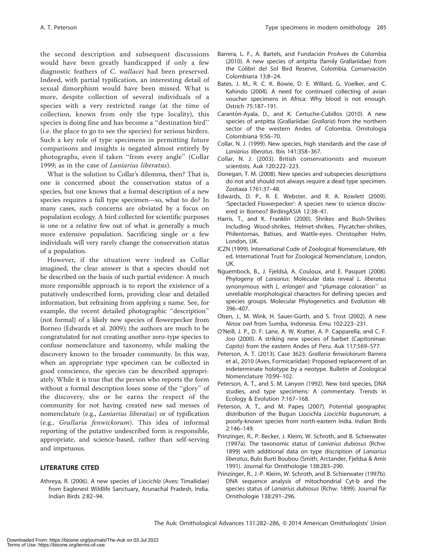the second description and subsequent discussions would have been greatly handicapped if only a few diagnostic feathers of C. wallacei had been preserved. Indeed, with partial typification, an interesting detail of sexual dimorphism would have been missed. What is more, despite collection of several individuals of a species with a very restricted range (at the time of collection, known from only the type locality), this species is doing fine and has become a ''destination bird'' (i.e. the place to go to see the species) for serious birders. Such a key role of type specimens in permitting future comparisons and insights is negated almost entirely by photographs, even if taken ''from every angle'' (Collar 1999; as in the case of Laniarius liberatus).

What is the solution to Collar's dilemma, then? That is, one is concerned about the conservation status of a species, but one knows that a formal description of a new species requires a full type specimen—so, what to do? In many cases, such concerns are obviated by a focus on population ecology. A bird collected for scientific purposes is one or a relative few out of what is generally a much more extensive population. Sacrificing single or a few individuals will very rarely change the conservation status of a population.

However, if the situation were indeed as Collar imagined, the clear answer is that a species should not be described on the basis of such partial evidence: A much more responsible approach is to report the existence of a putatively undescribed form, providing clear and detailed information, but refraining from applying a name. See, for example, the recent detailed photographic ''description'' (not formal) of a likely new species of flowerpecker from Borneo (Edwards et al. 2009); the authors are much to be congratulated for not creating another zero-type species to confuse nomenclature and taxonomy, while making the discovery known to the broader community. In this way, when an appropriate type specimen can be collected in good conscience, the species can be described appropriately. While it is true that the person who reports the form without a formal description loses some of the ''glory'' of the discovery, she or he earns the respect of the community for not having created new sad messes of nomenclature (e.g., Laniarius liberatus) or of typification (e.g., Grallaria fenwickorum). This idea of informal reporting of the putative undescribed form is responsible, appropriate, and science-based, rather than self-serving and impetuous.

## LITERATURE CITED

Athreya, R. (2006). A new species of Liocichla (Aves: Timaliidae) from Eaglenest Wildlife Sanctuary, Arunachal Pradesh, India. Indian Birds 2:82–94.

- Barrera, L. F., A. Bartels, and Fundación ProAves de Colombia (2010). A new species of antpitta (family Grallariidae) from the Colibrí del Sol Bird Reserve, Colombia. Conservación Colombiana 13:8–24.
- Bates, J. M., R. C. K. Bowie, D. E. Willard, G. Voelker, and C. Kahindo (2004). A need for continued collecting of avian voucher specimens in Africa: Why blood is not enough. Ostrich 75:187–191.
- Carantón-Ayala, D., and K. Certuche-Cubillos (2010). A new species of antpitta (Grallariidae: Grallaria) from the northern sector of the western Andes of Colombia. Ornitología Colombiana 9:56–70.
- Collar, N. J. (1999). New species, high standards and the case of Laniarius liberatus. Ibis 141:358–367.
- Collar, N. J. (2003). British conservationists and museum scientists. Auk 120:222–223.
- Donegan, T. M. (2008). New species and subspecies descriptions do not and should not always require a dead type specimen. Zootaxa 1761:37–48.
- Edwards, D. P., R. E. Webster, and R. A. Rowlett (2009). 'Spectacled Flowerpecker': A species new to science discovered in Borneo? BirdingASIA 12:38–41.
- Harris, T., and K. Franklin (2000). Shrikes and Bush-Shrikes: Including Wood-shrikes, Helmet-shrikes, Flycatcher-shrikes, Philentomas, Batises, and Wattle-eyes. Christopher Helm, London, UK.
- ICZN (1999). International Code of Zoological Nomenclature, 4th ed. International Trust for Zoological Nomenclature, London, UK.
- Nguembock, B., J. Fjeldså, A. Couloux, and E. Pasquet (2008). Phylogeny of Laniarius: Molecular data reveal L. liberatus synonymous with L. erlangeri and "plumage coloration" as unreliable morphological characters for defining species and species groups. Molecular Phylogenetics and Evolution 48: 396–407.
- Olsen, J., M. Wink, H. Sauer-Gürth, and S. Trost (2002). A new Ninox owl from Sumba, Indonesia. Emu 102:223–231.
- O'Neill, J. P., D. F. Lane, A. W. Kratter, A. P. Capparella, and C. F. Joo (2000). A striking new species of barbet (Capitoninae: Capito) from the eastern Andes of Peru. Auk 117:569–577.
- Peterson, A. T. (2013). Case 3623: Grallaria fenwickorum Barrera et al., 2010 (Aves, Formicariidae): Proposed replacement of an indeterminate holotype by a neotype. Bulletin of Zoological Nomenclature 70:99–102.
- Peterson, A. T., and S. M. Lanyon (1992). New bird species, DNA studies, and type specimens: A commentary. Trends in Ecology & Evolution 7:167–168.
- Peterson, A. T., and M. Papeş (2007). Potential geographic distribution of the Bugun Liocichla Liocichla bugunorum, a poorly-known species from north-eastern India. Indian Birds 2:146–149.
- Prinzinger, R., P. Becker, J. Kleim, W. Schroth, and B. Schierwater (1997a). The taxonomic status of Laniarius dubiosus (Rchw. 1899) with additional data on type discription of Laniarius liberatus, Bulo Burti Boubou (Smith, Arctander, Fjeldsa & Amir 1991). Journal für Ornithologie 138:283-290.
- Prinzinger, R., J.-P. Kleim, W. Schroth, and B. Schierwater (1997b). DNA sequence analysis of mitochondrial Cyt-b and the species status of Laniarius dubiosus (Rchw. 1899). Journal für Ornithologie 138:291–296.